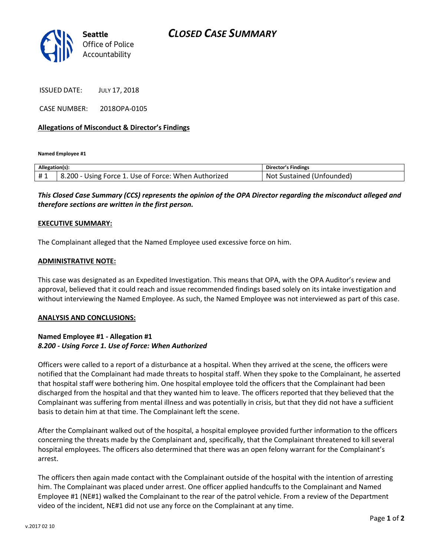

ISSUED DATE: JULY 17, 2018

CASE NUMBER: 2018OPA-0105

## **Allegations of Misconduct & Director's Findings**

**Named Employee #1**

| Allegation(s): |                                                       | Director's Findings                 |
|----------------|-------------------------------------------------------|-------------------------------------|
| #1             | 8.200<br>Using Force 1. Use of Force: When Authorized | Unfounded)<br>Sustained (U<br>. Not |

*This Closed Case Summary (CCS) represents the opinion of the OPA Director regarding the misconduct alleged and therefore sections are written in the first person.* 

### **EXECUTIVE SUMMARY:**

The Complainant alleged that the Named Employee used excessive force on him.

#### **ADMINISTRATIVE NOTE:**

This case was designated as an Expedited Investigation. This means that OPA, with the OPA Auditor's review and approval, believed that it could reach and issue recommended findings based solely on its intake investigation and without interviewing the Named Employee. As such, the Named Employee was not interviewed as part of this case.

#### **ANALYSIS AND CONCLUSIONS:**

## **Named Employee #1 - Allegation #1** *8.200 - Using Force 1. Use of Force: When Authorized*

Officers were called to a report of a disturbance at a hospital. When they arrived at the scene, the officers were notified that the Complainant had made threats to hospital staff. When they spoke to the Complainant, he asserted that hospital staff were bothering him. One hospital employee told the officers that the Complainant had been discharged from the hospital and that they wanted him to leave. The officers reported that they believed that the Complainant was suffering from mental illness and was potentially in crisis, but that they did not have a sufficient basis to detain him at that time. The Complainant left the scene.

After the Complainant walked out of the hospital, a hospital employee provided further information to the officers concerning the threats made by the Complainant and, specifically, that the Complainant threatened to kill several hospital employees. The officers also determined that there was an open felony warrant for the Complainant's arrest.

The officers then again made contact with the Complainant outside of the hospital with the intention of arresting him. The Complainant was placed under arrest. One officer applied handcuffs to the Complainant and Named Employee #1 (NE#1) walked the Complainant to the rear of the patrol vehicle. From a review of the Department video of the incident, NE#1 did not use any force on the Complainant at any time.